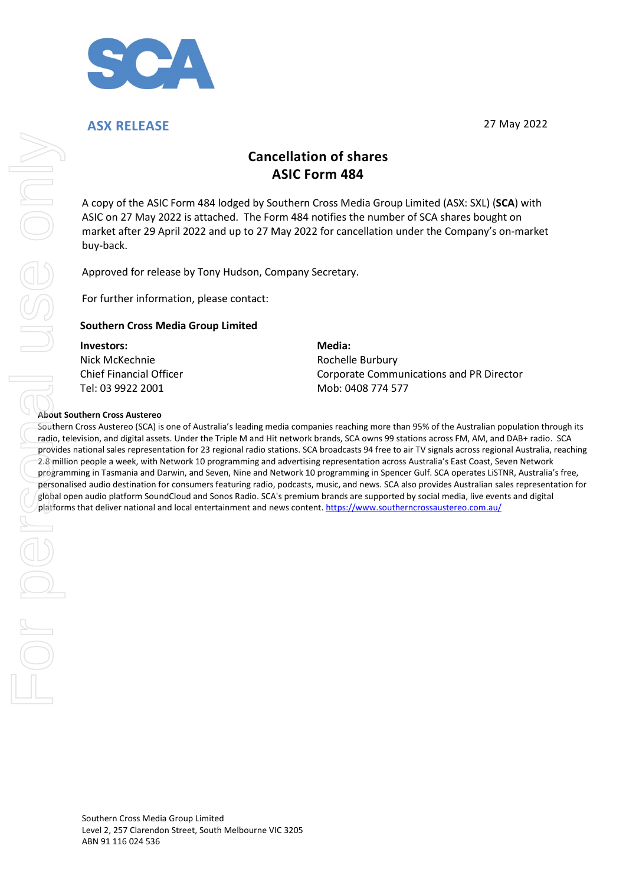

**ASX RELEASE** 27 May 2022

# **Cancellation of shares ASIC Form 484**

A copy of the ASIC Form 484 lodged by Southern Cross Media Group Limited (ASX: SXL) (**SCA**) with ASIC on 27 May 2022 is attached. The Form 484 notifies the number of SCA shares bought on market after 29 April 2022 and up to 27 May 2022 for cancellation under the Company's on-market buy-back.

Approved for release by Tony Hudson, Company Secretary.

For further information, please contact:

#### **Southern Cross Media Group Limited**

#### **Investors:** Nick McKechnie Chief Financial Officer Tel: 03 9922 2001

**Media:** Rochelle Burbury Corporate Communications and PR Director Mob: 0408 774 577

#### **About Southern Cross Austereo**

Southern Cross Austereo (SCA) is one of Australia's leading media companies reaching more than 95% of the Australian population through its radio, television, and digital assets. Under the Triple M and Hit network brands, SCA owns 99 stations across FM, AM, and DAB+ radio. SCA provides national sales representation for 23 regional radio stations. SCA broadcasts 94 free to air TV signals across regional Australia, reaching 2.8 million people a week, with Network 10 programming and advertising representation across Australia's East Coast, Seven Network programming in Tasmania and Darwin, and Seven, Nine and Network 10 programming in Spencer Gulf. SCA operates LiSTNR, Australia's free, personalised audio destination for consumers featuring radio, podcasts, music, and news. SCA also provides Australian sales representation for global open audio platform SoundCloud and Sonos Radio. SCA's premium brands are supported by social media, live events and digital Cancellation of shares<br>
A cooy of the ASIC form 484 local enter one Kostalic Group Limited (ASV: SVL) R<br>
ASIC on 27 May 2022 is attached The form 484 nodellis the number of SCA shares bough<br>
market after 29 April 2022 and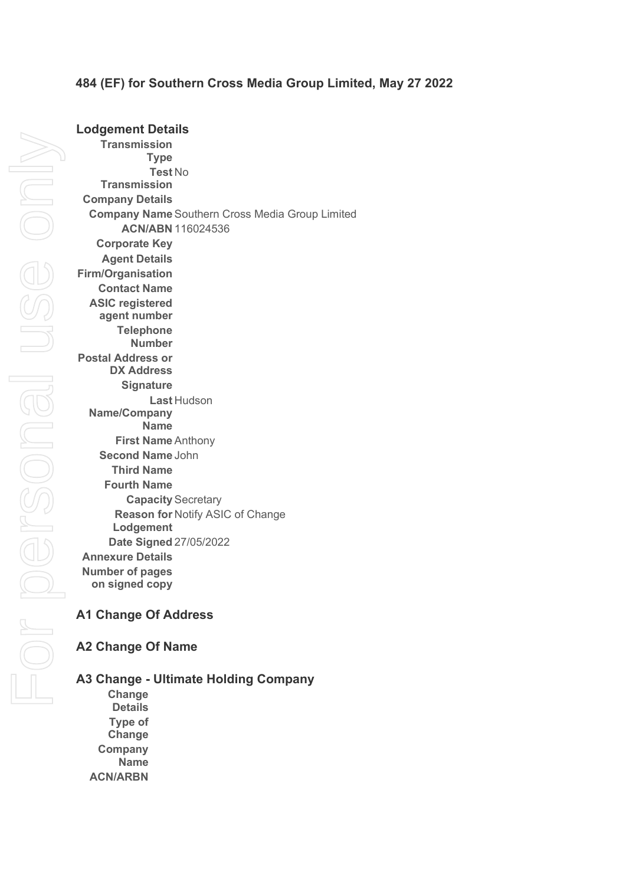## **484 (EF) for Southern Cross Media Group Limited, May 27 2022**

**Lodgement Details Transmission Type Test**  No **Transmission Company Details Company Name** Southern Cross Media Group Limited **ACN/ABN** 116024536 **Corporate Key Agent Details Firm/Organisation Contact Name ASIC registered agent number Telephone Number Postal Address or DX Address Signature Last**  Hudson **Name/Company Name First Name** Anthony **Second Name** John **Third Name Fourth Name Capacity** Secretary **Reason for**  Notify ASIC of Change **Lodgement Date Signed** 27/05/2022 **Annexure Details Number of pages on signed copy**

# **A1 Change Of Address**

# **A2 Change Of Name**

## **A3 Change - Ultimate Holding Company**

**Change Details Type of Change Company Name ACN/ARBN**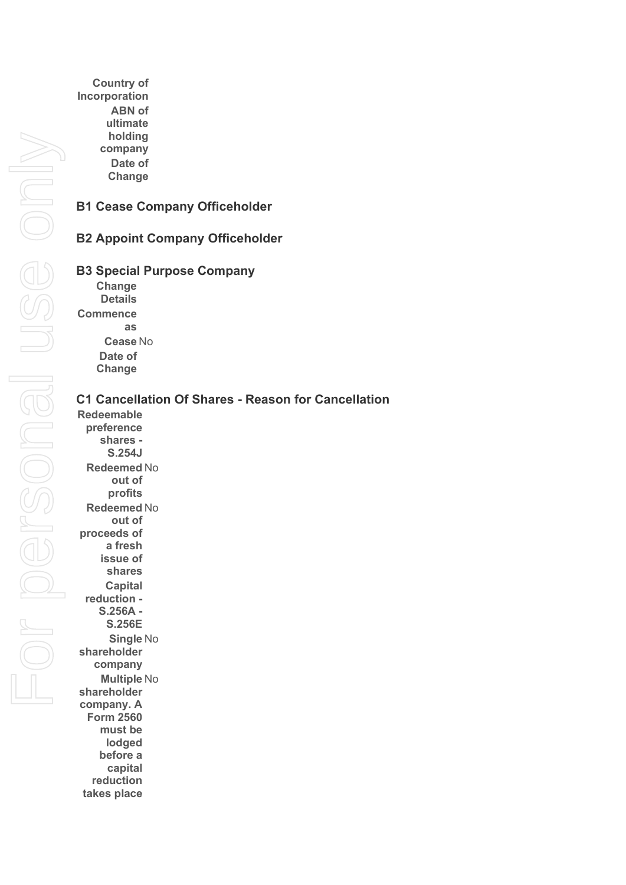**Country of Incorporation ABN of ultimate holding company Date of Change**

### **B1 Cease Company Officeholder**

### **B2 Appoint Company Officeholder**

#### **B3 Special Purpose Company**

**Change Details**

**Commence** 

**as Cease** No **Date of Change**

#### **C1 Cancellation Of Shares - Reason for Cancellation**

**Redeemable preference shares - S.254J Redeemed**  No **out of profits Redeemed**  No **out of proceeds of a fresh issue of shares Capital reduction - S.256A - S.256E Single**  No **shareholder company Multiple**  No **shareholder company. A Form 2560 must be lodged before a capital reduction takes place**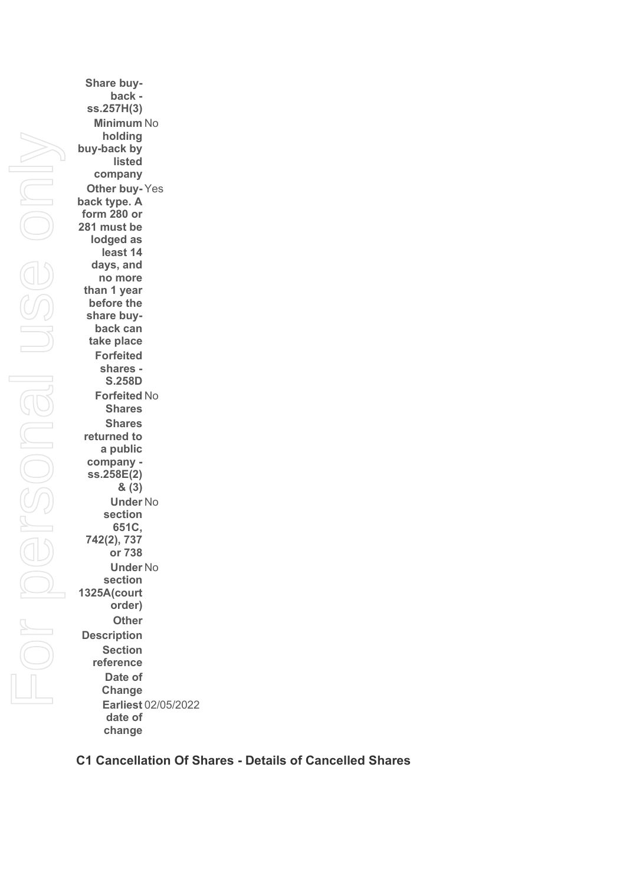**Share buyback ss.257H(3) Minimum**  No **holding buy-back by listed company Other buy-**Yes **back type. A form 280 or 281 must be lodged as least 14 days, and no more than 1 year before the share buyback can take place Forfeited shares - S.258D Forfeited**  No **Shares Shares returned to a public company ss.258E(2) & (3) Under**  No **section 651C, 742(2), 737 or 738 Under**  No **section 1325A(court order) Other Description Section reference Date of Change Earliest**  02/05/2022 **date of change**

### **C1 Cancellation Of Shares - Details of Cancelled Shares**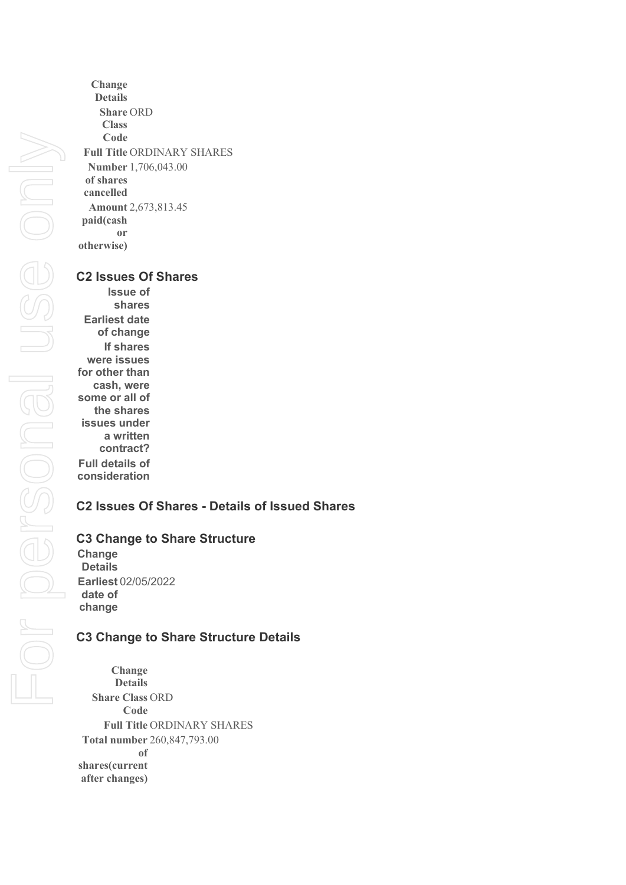**Change Details Share**  ORD **Class Code Full Title** ORDINARY SHARES **Number**  1,706,043.00 **of shares cancelled Amount**  2,673,813.45 **paid(cash or otherwise)**

#### **C2 Issues Of Shares**

**Issue of shares Earliest date of change If shares were issues for other than cash, were some or all of the shares issues under a written contract? Full details of consideration**

## **C2 Issues Of Shares - Details of Issued Shares**

### **C3 Change to Share Structure**

**Change Details Earliest**  02/05/2022 **date of change**

### **C3 Change to Share Structure Details**

**Change Details Share Class**  ORD **Code Full Title** ORDINARY SHARES **Total number**  260,847,793.00 **of shares(current after changes)**